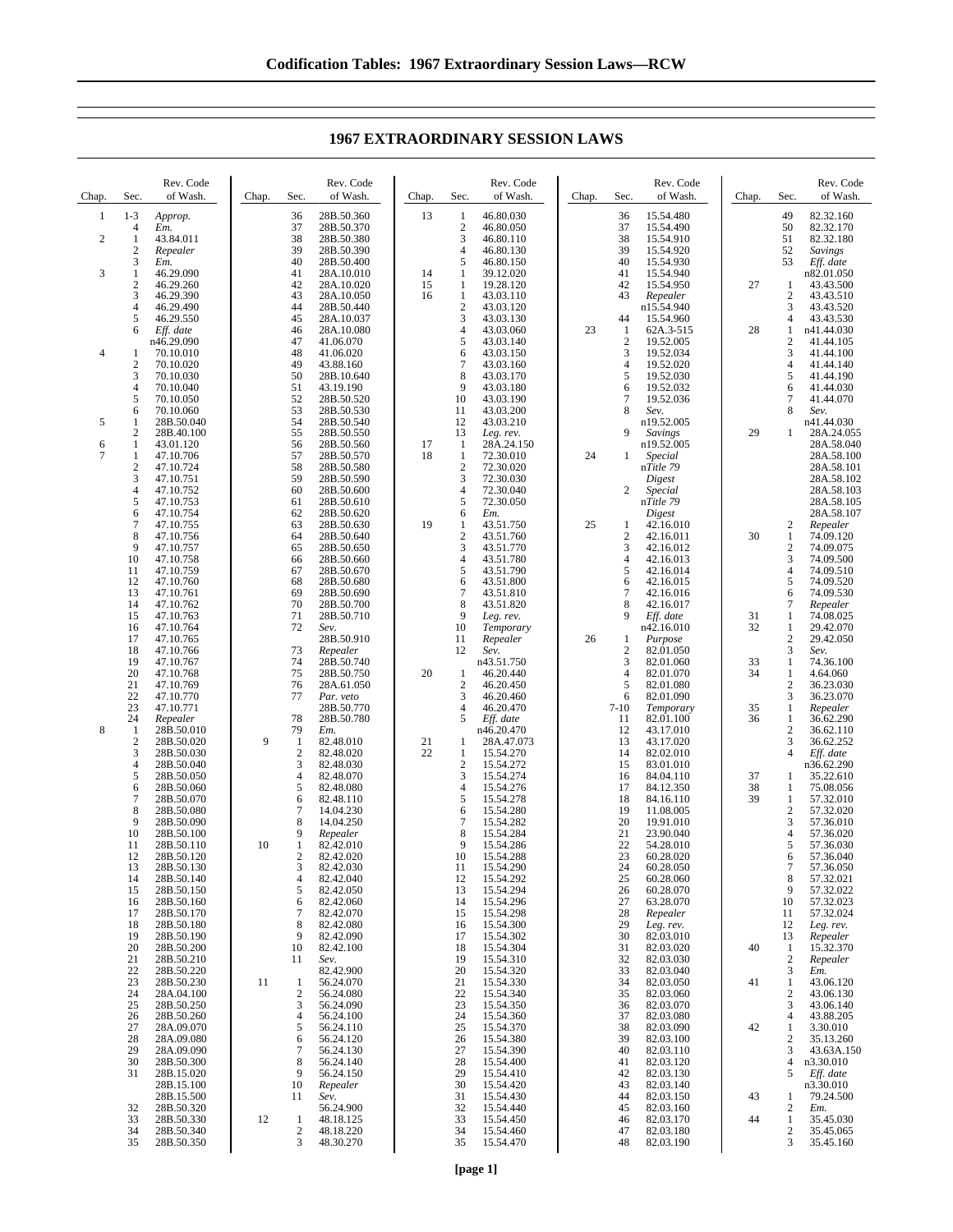**1967 EXTRAORDINARY SESSION LAWS**

| Chap.                        | Sec.                                | Rev. Code<br>of Wash.        | Chap. | Sec.           | Rev. Code<br>of Wash.                  | Chap.    | Sec.                                | Rev. Code<br>of Wash.               | Chap. | Sec.                  | Rev. Code<br>of Wash.               | Chap.    | Sec.                             | Rev. Code<br>of Wash.                     |
|------------------------------|-------------------------------------|------------------------------|-------|----------------|----------------------------------------|----------|-------------------------------------|-------------------------------------|-------|-----------------------|-------------------------------------|----------|----------------------------------|-------------------------------------------|
| 1<br>$\overline{\mathbf{c}}$ | $1 - 3$<br>4<br>$\mathbf{1}$        | Approp.<br>Em.<br>43.84.011  |       | 36<br>37<br>38 | 28B.50.360<br>28B.50.370<br>28B.50.380 | 13       | $\mathbf{1}$<br>$\overline{2}$<br>3 | 46.80.030<br>46.80.050<br>46.80.110 |       | 36<br>37<br>38        | 15.54.480<br>15.54.490<br>15.54.910 |          | 49<br>50<br>51                   | 82.32.160<br>82.32.170<br>82.32.180       |
| 3                            | $\mathfrak{2}$<br>3<br>$\mathbf{1}$ | Repealer<br>Em.<br>46.29.090 |       | 39<br>40<br>41 | 28B.50.390<br>28B.50.400<br>28A.10.010 | 14       | $\overline{4}$<br>5<br>1            | 46.80.130<br>46.80.150<br>39.12.020 |       | 39<br>40<br>41        | 15.54.920<br>15.54.930<br>15.54.940 |          | 52<br>53                         | <b>Savings</b><br>Eff. date<br>n82.01.050 |
|                              | $\mathbf{2}$<br>3                   | 46.29.260<br>46.29.390       |       | 42<br>43       | 28A.10.020<br>28A.10.050               | 15<br>16 | 1<br>$\mathbf{1}$                   | 19.28.120<br>43.03.110              |       | 42<br>43              | 15.54.950<br>Repealer               | 27       | 1<br>$\boldsymbol{2}$            | 43.43.500<br>43.43.510                    |
|                              | 4<br>5                              | 46.29.490<br>46.29.550       |       | 44<br>45       | 28B.50.440<br>28A.10.037               |          | $\sqrt{2}$<br>3                     | 43.03.120<br>43.03.130              |       | 44                    | n15.54.940<br>15.54.960             |          | 3<br>$\overline{4}$              | 43.43.520<br>43.43.530                    |
|                              | 6                                   | Eff. date                    |       | 46<br>47       | 28A.10.080                             |          | 4                                   | 43.03.060<br>43.03.140              | 23    | 1                     | 62A.3-515                           | 28       | 1<br>$\overline{c}$              | n41.44.030<br>41.44.105                   |
| 4                            | -1                                  | n46.29.090<br>70.10.010      |       | 48             | 41.06.070<br>41.06.020                 |          | 5<br>6                              | 43.03.150                           |       | $\boldsymbol{2}$<br>3 | 19.52.005<br>19.52.034              |          | 3                                | 41.44.100                                 |
|                              | $\mathfrak{2}$<br>3                 | 70.10.020<br>70.10.030       |       | 49<br>50       | 43.88.160<br>28B.10.640                |          | $\tau$<br>8                         | 43.03.160<br>43.03.170              |       | 4<br>5                | 19.52.020<br>19.52.030              |          | $\overline{4}$<br>5              | 41.44.140<br>41.44.190                    |
|                              | $\overline{4}$<br>5                 | 70.10.040<br>70.10.050       |       | 51<br>52       | 43.19.190<br>28B.50.520                |          | 9<br>10                             | 43.03.180<br>43.03.190              |       | 6<br>7                | 19.52.032<br>19.52.036              |          | 6<br>7                           | 41.44.030<br>41.44.070                    |
| 5                            | 6<br>1                              | 70.10.060<br>28B.50.040      |       | 53<br>54       | 28B.50.530<br>28B.50.540               |          | 11<br>12                            | 43.03.200<br>43.03.210              |       | 8                     | Sev.<br>n19.52.005                  |          | 8                                | Sev.<br>n41.44.030                        |
| 6                            | $\mathfrak{2}$<br>1                 | 28B.40.100<br>43.01.120      |       | 55<br>56       | 28B.50.550<br>28B.50.560               | 17       | 13<br>$\mathbf{1}$                  | Leg. rev.<br>28A.24.150             |       | 9                     | Savings<br>n19.52.005               | 29       | 1                                | 28A.24.055<br>28A.58.040                  |
| 7                            | 1<br>$\sqrt{2}$                     | 47.10.706<br>47.10.724       |       | 57<br>58       | 28B.50.570<br>28B.50.580               | 18       | $\mathbf{1}$<br>$\sqrt{2}$          | 72.30.010<br>72.30.020              | 24    | 1                     | Special<br>nTitle 79                |          |                                  | 28A.58.100<br>28A.58.101                  |
|                              | 3<br>4                              | 47.10.751<br>47.10.752       |       | 59<br>60       | 28B.50.590<br>28B.50.600               |          | 3<br>$\overline{4}$                 | 72.30.030<br>72.30.040              |       | 2                     | Digest<br>Special                   |          |                                  | 28A.58.102<br>28A.58.103                  |
|                              | 5<br>6                              | 47.10.753<br>47.10.754       |       | 61<br>62       | 28B.50.610<br>28B.50.620               |          | 5<br>6                              | 72.30.050<br>Em.                    |       |                       | nTitle 79<br>Digest                 |          |                                  | 28A.58.105<br>28A.58.107                  |
|                              | 7<br>8                              | 47.10.755<br>47.10.756       |       | 63<br>64       | 28B.50.630<br>28B.50.640               | 19       | $\mathbf{1}$<br>$\overline{2}$      | 43.51.750<br>43.51.760              | 25    | 1<br>$\overline{c}$   | 42.16.010<br>42.16.011              | 30       | 2<br>$\mathbf{1}$                | Repealer<br>74.09.120                     |
|                              | 9                                   | 47.10.757                    |       | 65             | 28B.50.650                             |          | 3                                   | 43.51.770                           |       | 3                     | 42.16.012                           |          | $\overline{\mathbf{c}}$          | 74.09.075                                 |
|                              | 10<br>11                            | 47.10.758<br>47.10.759       |       | 66<br>67       | 28B.50.660<br>28B.50.670               |          | $\overline{4}$<br>5                 | 43.51.780<br>43.51.790              |       | 4<br>5                | 42.16.013<br>42.16.014              |          | 3<br>$\overline{4}$              | 74.09.500<br>74.09.510                    |
|                              | 12<br>13                            | 47.10.760<br>47.10.761       |       | 68<br>69       | 28B.50.680<br>28B.50.690               |          | 6<br>$\overline{7}$                 | 43.51.800<br>43.51.810              |       | 6<br>7                | 42.16.015<br>42.16.016              |          | 5<br>6                           | 74.09.520<br>74.09.530                    |
|                              | 14<br>15                            | 47.10.762<br>47.10.763       |       | 70<br>71       | 28B.50.700<br>28B.50.710               |          | 8<br>9                              | 43.51.820<br>Leg. rev.              |       | 8<br>9                | 42.16.017<br>Eff. date              | 31       | 7<br>$\mathbf{1}$                | Repealer<br>74.08.025                     |
|                              | 16<br>17                            | 47.10.764<br>47.10.765       |       | 72             | Sev.<br>28B.50.910                     |          | 10<br>11                            | Temporary<br>Repealer               | 26    | 1                     | n42.16.010<br>Purpose               | 32       | $\mathbf{1}$<br>$\boldsymbol{2}$ | 29.42.070<br>29.42.050                    |
|                              | 18<br>19                            | 47.10.766<br>47.10.767       |       | 73<br>74       | Repealer<br>28B.50.740                 |          | 12                                  | Sev.<br>n43.51.750                  |       | $\boldsymbol{2}$<br>3 | 82.01.050<br>82.01.060              | 33       | 3<br>1                           | Sev.<br>74.36.100                         |
|                              | 20<br>21                            | 47.10.768<br>47.10.769       |       | 75<br>76       | 28B.50.750<br>28A.61.050               | 20       | $\mathbf{1}$<br>$\overline{2}$      | 46.20.440<br>46.20.450              |       | $\overline{4}$<br>5   | 82.01.070<br>82.01.080              | 34       | 1<br>$\mathbf{2}$                | 4.64.060<br>36.23.030                     |
|                              | 22<br>23                            | 47.10.770<br>47.10.771       |       | 77             | Par. veto<br>28B.50.770                |          | 3<br>$\overline{4}$                 | 46.20.460<br>46.20.470              |       | 6<br>$7 - 10$         | 82.01.090<br>Temporary              | 35       | 3<br>$\mathbf{1}$                | 36.23.070<br>Repealer                     |
| 8                            | 24<br>-1                            | Repealer<br>28B.50.010       |       | 78<br>79       | 28B.50.780<br>Em.                      |          | 5                                   | Eff. date<br>n46.20.470             |       | 11<br>12              | 82.01.100<br>43.17.010              | 36       | $\mathbf{1}$<br>$\mathfrak{2}$   | 36.62.290<br>36.62.110                    |
|                              | $\mathfrak{2}$<br>3                 | 28B.50.020<br>28B.50.030     | 9     | 1<br>2         | 82.48.010<br>82.48.020                 | 21<br>22 | 1<br>1                              | 28A.47.073<br>15.54.270             |       | 13<br>14              | 43.17.020<br>82.02.010              |          | 3<br>$\overline{4}$              | 36.62.252<br>Eff. date                    |
|                              | 4<br>5                              | 28B.50.040<br>28B.50.050     |       | 3<br>4         | 82.48.030<br>82.48.070                 |          | $\overline{2}$<br>3                 | 15.54.272<br>15.54.274              |       | 15<br>16              | 83.01.010<br>84.04.110              | 37       | 1                                | n36.62.290<br>35.22.610                   |
|                              | 6<br>7                              | 28B.50.060                   |       | 5              | 82.48.080                              |          | 4<br>5                              | 15.54.276                           |       | 17                    | 84.12.350                           | 38<br>39 | 1<br>$\mathbf{1}$                | 75.08.056                                 |
|                              | 8                                   | 28B.50.070<br>28B.50.080     |       | 6<br>7         | 82.48.110<br>14.04.230                 |          | 6                                   | 15.54.278<br>15.54.280              |       | 18<br>19              | 84.16.110<br>11.08.005              |          | $\overline{2}$                   | 57.32.010<br>57.32.020                    |
|                              | 9<br>10                             | 28B.50.090<br>28B.50.100     |       | 8<br>9         | 14.04.250<br>Repealer                  |          | $\overline{7}$<br>8                 | 15.54.282<br>15.54.284              |       | 20<br>21              | 19.91.010<br>23.90.040              |          | 3<br>$\overline{4}$              | 57.36.010<br>57.36.020                    |
|                              | 11<br>12                            | 28B.50.110<br>28B.50.120     | 10    | 1<br>2         | 82.42.010<br>82.42.020                 |          | 9<br>10                             | 15.54.286<br>15.54.288              |       | 22<br>23              | 54.28.010<br>60.28.020              |          | 5<br>6                           | 57.36.030<br>57.36.040                    |
|                              | 13<br>14                            | 28B.50.130<br>28B.50.140     |       | 3<br>4         | 82.42.030<br>82.42.040                 |          | 11<br>12                            | 15.54.290<br>15.54.292              |       | 24<br>25              | 60.28.050<br>60.28.060              |          | 7<br>8                           | 57.36.050<br>57.32.021                    |
|                              | 15<br>16                            | 28B.50.150<br>28B.50.160     |       | 5<br>6         | 82.42.050<br>82.42.060                 |          | 13<br>14                            | 15.54.294<br>15.54.296              |       | 26<br>27              | 60.28.070<br>63.28.070              |          | 9<br>10                          | 57.32.022<br>57.32.023                    |
|                              | 17<br>18                            | 28B.50.170<br>28B.50.180     |       | 7<br>8         | 82.42.070<br>82.42.080                 |          | 15<br>16                            | 15.54.298<br>15.54.300              |       | 28<br>29              | Repealer<br>Leg. rev.               |          | 11<br>12                         | 57.32.024<br>Leg. rev.                    |
|                              | 19<br>20                            | 28B.50.190<br>28B.50.200     |       | 9<br>10        | 82.42.090<br>82.42.100                 |          | 17<br>18                            | 15.54.302<br>15.54.304              |       | 30<br>31              | 82.03.010<br>82.03.020              | 40       | 13<br>1                          | Repealer<br>15.32.370                     |
|                              | 21<br>22                            | 28B.50.210<br>28B.50.220     |       | 11             | Sev.<br>82.42.900                      |          | 19<br>20                            | 15.54.310<br>15.54.320              |       | 32<br>33              | 82.03.030<br>82.03.040              |          | $\overline{2}$<br>3              | Repealer<br>Em.                           |
|                              | 23<br>24                            | 28B.50.230<br>28A.04.100     | 11    | 1<br>2         | 56.24.070<br>56.24.080                 |          | 21<br>22                            | 15.54.330<br>15.54.340              |       | 34<br>35              | 82.03.050<br>82.03.060              | 41       | 1<br>2                           | 43.06.120<br>43.06.130                    |
|                              | 25<br>26                            | 28B.50.250<br>28B.50.260     |       | 3<br>4         | 56.24.090<br>56.24.100                 |          | 23<br>24                            | 15.54.350<br>15.54.360              |       | 36<br>37              | 82.03.070<br>82.03.080              |          | 3<br>4                           | 43.06.140<br>43.88.205                    |
|                              | 27<br>28                            | 28A.09.070<br>28A.09.080     |       | 5<br>6         | 56.24.110<br>56.24.120                 |          | 25<br>26                            | 15.54.370<br>15.54.380              |       | 38<br>39              | 82.03.090<br>82.03.100              | 42       | $\mathbf{1}$<br>2                | 3.30.010<br>35.13.260                     |
|                              | 29<br>30                            | 28A.09.090<br>28B.50.300     |       | 7<br>8         | 56.24.130<br>56.24.140                 |          | 27<br>28                            | 15.54.390<br>15.54.400              |       | 40<br>41              | 82.03.110                           |          | 3<br>$\overline{4}$              | 43.63A.150<br>n3.30.010                   |
|                              | 31                                  | 28B.15.020                   |       | 9              | 56.24.150                              |          | 29                                  | 15.54.410                           |       | 42                    | 82.03.120<br>82.03.130              |          | 5                                | Eff. date                                 |
|                              |                                     | 28B.15.100<br>28B.15.500     |       | 10<br>11       | Repealer<br>Sev.                       |          | 30<br>31                            | 15.54.420<br>15.54.430              |       | 43<br>44              | 82.03.140<br>82.03.150              | 43       | 1                                | n3.30.010<br>79.24.500                    |
|                              | 32<br>33                            | 28B.50.320<br>28B.50.330     | 12    | 1              | 56.24.900<br>48.18.125                 |          | 32<br>33                            | 15.54.440<br>15.54.450              |       | 45<br>46              | 82.03.160<br>82.03.170              | 44       | $\overline{c}$<br>$\mathbf{1}$   | Em.<br>35.45.030                          |
|                              | 34<br>35                            | 28B.50.340<br>28B.50.350     |       | 2<br>3         | 48.18.220<br>48.30.270                 |          | 34<br>35                            | 15.54.460<br>15.54.470              |       | 47<br>48              | 82.03.180<br>82.03.190              |          | $\overline{\mathbf{c}}$<br>3     | 35.45.065<br>35.45.160                    |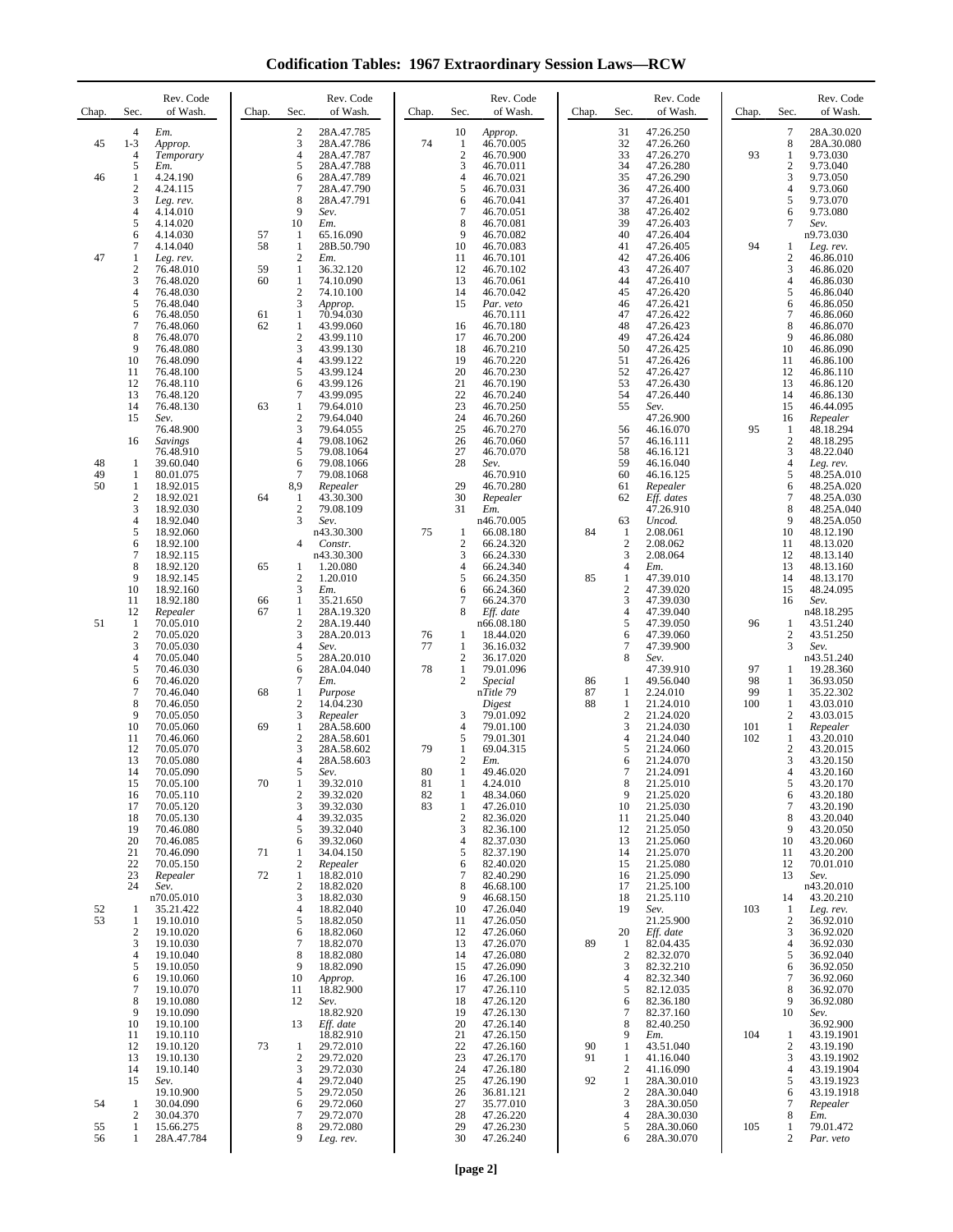**Codification Tables: 1967 Extraordinary Session Laws—RCW**

|          |                                  |                         |          | Rev. Code                                                        |          |                     |                             |          |                                  |                          |            |                                |                          |
|----------|----------------------------------|-------------------------|----------|------------------------------------------------------------------|----------|---------------------|-----------------------------|----------|----------------------------------|--------------------------|------------|--------------------------------|--------------------------|
| Chap.    | Sec.                             | Rev. Code<br>of Wash.   | Chap.    | Sec.<br>of Wash.                                                 | Chap.    | Sec.                | Rev. Code<br>of Wash.       | Chap.    | Sec.                             | Rev. Code<br>of Wash.    | Chap.      | Sec.                           | Rev. Code<br>of Wash.    |
| 45       | $\overline{4}$<br>$1 - 3$        | Em.<br>Approp.          |          | $\sqrt{2}$<br>28A.47.785<br>3<br>28A.47.786                      | 74       | 10<br>1             | Approp.<br>46.70.005        |          | 31<br>32                         | 47.26.250<br>47.26.260   |            | $\boldsymbol{7}$<br>$\,8\,$    | 28A.30.020<br>28A.30.080 |
|          | 4<br>5                           | Temporary<br>Em.        |          | $\overline{4}$<br>28A.47.787<br>5<br>28A.47.788                  |          | $\overline{2}$<br>3 | 46.70.900<br>46.70.011      |          | 33<br>34                         | 47.26.270<br>47.26.280   | 93         | 1<br>$\boldsymbol{2}$          | 9.73.030<br>9.73.040     |
| 46       | 1<br>2                           | 4.24.190<br>4.24.115    |          | 6<br>28A.47.789<br>$\tau$<br>28A.47.790                          |          | $\overline{4}$<br>5 | 46.70.021<br>46.70.031      |          | 35<br>36                         | 47.26.290<br>47.26.400   |            | 3<br>4                         | 9.73.050<br>9.73.060     |
|          | 3<br>4                           | Leg. rev.<br>4.14.010   |          | $\,$ 8 $\,$<br>28A.47.791<br>9<br>Sev.                           |          | 6<br>$\tau$         | 46.70.041<br>46.70.051      |          | 37<br>38                         | 47.26.401<br>47.26.402   |            | 5                              | 9.73.070<br>9.73.080     |
|          | 5                                | 4.14.020                |          | 10<br>Em.                                                        |          | 8                   | 46.70.081                   |          | 39                               | 47.26.403                |            | 6<br>7                         | Sev.                     |
|          | 6<br>7                           | 4.14.030<br>4.14.040    | 57<br>58 | 1<br>65.16.090<br>$\mathbf{1}$<br>28B.50.790                     |          | 9<br>10             | 46.70.082<br>46.70.083      |          | 40<br>41                         | 47.26.404<br>47.26.405   | 94         | 1                              | n9.73.030<br>Leg. rev.   |
| 47       | 1<br>$\boldsymbol{2}$            | Leg. rev.<br>76.48.010  | 59       | $\sqrt{2}$<br>Em.<br>$\mathbf{1}$<br>36.32.120                   |          | 11<br>12            | 46.70.101<br>46.70.102      |          | 42<br>43                         | 47.26.406<br>47.26.407   |            | $\boldsymbol{2}$<br>3          | 46.86.010<br>46.86.020   |
|          | 3<br>4                           | 76.48.020<br>76.48.030  | 60       | $\mathbf{1}$<br>74.10.090<br>$\sqrt{2}$<br>74.10.100             |          | 13<br>14            | 46.70.061<br>46.70.042      |          | 44<br>45                         | 47.26.410<br>47.26.420   |            | 4<br>5                         | 46.86.030<br>46.86.040   |
|          | 5<br>6                           | 76.48.040<br>76.48.050  | 61       | 3<br>Approp.<br>$\mathbf{1}$<br>70.94.030                        |          | 15                  | Par. veto<br>46.70.111      |          | 46<br>47                         | 47.26.421<br>47.26.422   |            | 6<br>7                         | 46.86.050<br>46.86.060   |
|          | 7<br>8                           | 76.48.060               | 62       | $\mathbf{1}$<br>43.99.060<br>$\sqrt{2}$                          |          | 16                  | 46.70.180                   |          | 48<br>49                         | 47.26.423                |            | 8<br>9                         | 46.86.070                |
|          | 9                                | 76.48.070<br>76.48.080  |          | 43.99.110<br>$\mathfrak 3$<br>43.99.130                          |          | 17<br>18            | 46.70.200<br>46.70.210      |          | 50                               | 47.26.424<br>47.26.425   |            | 10                             | 46.86.080<br>46.86.090   |
|          | 10<br>11                         | 76.48.090<br>76.48.100  |          | $\overline{4}$<br>43.99.122<br>5<br>43.99.124                    |          | 19<br>20            | 46.70.220<br>46.70.230      |          | 51<br>52                         | 47.26.426<br>47.26.427   |            | 11<br>12                       | 46.86.100<br>46.86.110   |
|          | 12<br>13                         | 76.48.110<br>76.48.120  |          | 6<br>43.99.126<br>$\tau$<br>43.99.095                            |          | 21<br>22            | 46.70.190<br>46.70.240      |          | 53<br>54                         | 47.26.430<br>47.26.440   |            | 13<br>14                       | 46.86.120<br>46.86.130   |
|          | 14<br>15                         | 76.48.130<br>Sev.       | 63       | $\mathbf{1}$<br>79.64.010<br>$\boldsymbol{2}$<br>79.64.040       |          | 23<br>24            | 46.70.250<br>46.70.260      |          | 55                               | Sev.<br>47.26.900        |            | 15<br>16                       | 46.44.095<br>Repealer    |
|          | 16                               | 76.48.900<br>Savings    |          | 3<br>79.64.055<br>$\overline{4}$<br>79.08.1062                   |          | 25<br>26            | 46.70.270<br>46.70.060      |          | 56<br>57                         | 46.16.070<br>46.16.111   | 95         | $\mathbf{1}$<br>$\sqrt{2}$     | 48.18.294<br>48.18.295   |
| 48       | 1                                | 76.48.910<br>39.60.040  |          | 5<br>79.08.1064<br>6<br>79.08.1066                               |          | 27<br>28            | 46.70.070<br>Sev.           |          | 58<br>59                         | 46.16.121<br>46.16.040   |            | 3<br>$\overline{4}$            | 48.22.040<br>Leg. rev.   |
| 49<br>50 | $\mathbf{1}$                     | 80.01.075               |          | $\overline{7}$<br>79.08.1068                                     |          | 29                  | 46.70.910                   |          | 60                               | 46.16.125                |            | 5                              | 48.25A.010               |
|          | 1<br>$\overline{c}$              | 18.92.015<br>18.92.021  | 64       | 8,9<br>Repealer<br>43.30.300<br>1                                |          | 30                  | 46.70.280<br>Repealer       |          | 61<br>62                         | Repealer<br>Eff. dates   |            | 6<br>7                         | 48.25A.020<br>48.25A.030 |
|          | 3<br>4                           | 18.92.030<br>18.92.040  |          | $\boldsymbol{2}$<br>79.08.109<br>3<br>Sev.                       |          | 31                  | Em.<br>n46.70.005           |          | 63                               | 47.26.910<br>Uncod.      |            | 8<br>9                         | 48.25A.040<br>48.25A.050 |
|          | 5<br>6                           | 18.92.060<br>18.92.100  |          | n43.30.300<br>$\overline{4}$<br>Constr.                          | 75       | 1<br>$\overline{c}$ | 66.08.180<br>66.24.320      | 84       | 1<br>$\overline{2}$              | 2.08.061<br>2.08.062     |            | 10<br>11                       | 48.12.190<br>48.13.020   |
|          | 7<br>8                           | 18.92.115<br>18.92.120  | 65       | n43.30.300<br>1.20.080<br>1                                      |          | 3<br>4              | 66.24.330<br>66.24.340      |          | 3<br>4                           | 2.08.064<br>Em.          |            | 12<br>13                       | 48.13.140<br>48.13.160   |
|          | 9<br>10                          | 18.92.145<br>18.92.160  |          | $\sqrt{2}$<br>1.20.010<br>3<br>Em.                               |          | 5<br>6              | 66.24.350<br>66.24.360      | 85       | $\mathbf{1}$<br>$\overline{2}$   | 47.39.010<br>47.39.020   |            | 14<br>15                       | 48.13.170<br>48.24.095   |
|          | 11<br>12                         | 18.92.180<br>Repealer   | 66<br>67 | $\mathbf{1}$<br>35.21.650<br>$\mathbf{1}$<br>28A.19.320          |          | 7<br>8              | 66.24.370<br>Eff. date      |          | $\mathfrak{Z}$<br>$\overline{4}$ | 47.39.030<br>47.39.040   |            | 16                             | Sev.<br>n48.18.295       |
| 51       | 1<br>$\overline{2}$              | 70.05.010<br>70.05.020  |          | $\boldsymbol{2}$<br>28A.19.440<br>$\mathfrak 3$<br>28A.20.013    | 76       | 1                   | n66.08.180<br>18.44.020     |          | 5<br>6                           | 47.39.050<br>47.39.060   | 96         | $\mathbf{1}$<br>$\overline{c}$ | 43.51.240<br>43.51.250   |
|          | 3<br>4                           | 70.05.030               |          | $\overline{4}$<br>Sev.<br>$\sqrt{5}$                             | 77       | 1<br>$\overline{c}$ | 36.16.032                   |          | $\overline{7}$<br>8              | 47.39.900                |            | 3                              | Sev.                     |
|          | 5                                | 70.05.040<br>70.46.030  |          | 28A.20.010<br>6<br>28A.04.040                                    | 78       | 1                   | 36.17.020<br>79.01.096      |          |                                  | Sev.<br>47.39.910        | 97         | 1                              | n43.51.240<br>19.28.360  |
|          | 6<br>7                           | 70.46.020<br>70.46.040  | 68       | $\boldsymbol{7}$<br>Em.<br>$\mathbf{1}$<br>Purpose               |          | $\overline{c}$      | <b>Special</b><br>nTitle 79 | 86<br>87 | 1<br>1                           | 49.56.040<br>2.24.010    | 98<br>99   | $\mathbf{1}$<br>1              | 36.93.050<br>35.22.302   |
|          | 8<br>9                           | 70.46.050<br>70.05.050  |          | $\sqrt{2}$<br>14.04.230<br>$\ensuremath{\mathbf{3}}$<br>Repealer |          | 3                   | Digest<br>79.01.092         | 88       | $\mathbf{1}$<br>$\overline{2}$   | 21.24.010<br>21.24.020   | 100        | 1<br>2                         | 43.03.010<br>43.03.015   |
|          | 10<br>11                         | 70.05.060<br>70.46.060  | 69       | $\mathbf{1}$<br>28A.58.600<br>$\sqrt{2}$<br>28A.58.601           |          | $\overline{4}$<br>5 | 79.01.100<br>79.01.301      |          | 3<br>$\overline{4}$              | 21.24.030<br>21.24.040   | 101<br>102 | $\mathbf{1}$<br>$\mathbf{1}$   | Repealer<br>43.20.010    |
|          | 12<br>13                         | 70.05.070<br>70.05.080  |          | 3<br>28A.58.602<br>$\overline{4}$<br>28A.58.603                  | 79       | 1<br>$\overline{c}$ | 69.04.315<br>Em.            |          | 5<br>6                           | 21.24.060<br>21.24.070   |            | $\boldsymbol{2}$<br>3          | 43.20.015<br>43.20.150   |
|          | 14<br>15                         | 70.05.090<br>70.05.100  | 70       | 5<br>Sev.<br>$\mathbf{1}$<br>39.32.010                           | 80<br>81 | 1<br>1              | 49.46.020<br>4.24.010       |          | 7<br>8                           | 21.24.091<br>21.25.010   |            | 4<br>5                         | 43.20.160<br>43.20.170   |
|          | 16<br>17                         | 70.05.110<br>70.05.120  |          | $\sqrt{2}$<br>39.32.020<br>$\mathfrak{Z}$<br>39.32.030           | 82<br>83 | 1<br>1              | 48.34.060<br>47.26.010      |          | 9<br>10                          | 21.25.020<br>21.25.030   |            | 6<br>7                         | 43.20.180<br>43.20.190   |
|          | 18<br>19                         | 70.05.130               |          | $\overline{4}$<br>39.32.035<br>$\sqrt{5}$                        |          | $\mathfrak{2}$<br>3 | 82.36.020<br>82.36.100      |          | 11                               | 21.25.040                |            | 8<br>9                         | 43.20.040                |
|          | 20                               | 70.46.080<br>70.46.085  |          | 39.32.040<br>6<br>39.32.060                                      |          | $\overline{4}$      | 82.37.030                   |          | 12<br>13                         | 21.25.050<br>21.25.060   |            | 10                             | 43.20.050<br>43.20.060   |
|          | 21<br>22                         | 70.46.090<br>70.05.150  | 71       | 34.04.150<br>1<br>$\overline{2}$<br>Repealer                     |          | 5<br>6              | 82.37.190<br>82.40.020      |          | 14<br>15                         | 21.25.070<br>21.25.080   |            | 11<br>12                       | 43.20.200<br>70.01.010   |
|          | 23<br>24                         | Repealer<br>Sev.        | 72       | 18.82.010<br>1<br>$\boldsymbol{2}$<br>18.82.020                  |          | $\tau$<br>8         | 82.40.290<br>46.68.100      |          | 16<br>17                         | 21.25.090<br>21.25.100   |            | 13                             | Sev.<br>n43.20.010       |
| 52       | 1                                | n70.05.010<br>35.21.422 |          | 3<br>18.82.030<br>$\overline{4}$<br>18.82.040                    |          | 9<br>10             | 46.68.150<br>47.26.040      |          | 18<br>19                         | 21.25.110<br>Sev.        | 103        | 14<br>1                        | 43.20.210<br>Leg. rev.   |
| 53       | $\mathbf{1}$<br>$\boldsymbol{2}$ | 19.10.010<br>19.10.020  |          | 5<br>18.82.050<br>6<br>18.82.060                                 |          | 11<br>12            | 47.26.050<br>47.26.060      |          | 20                               | 21.25.900<br>Eff. date   |            | $\mathfrak{2}$<br>3            | 36.92.010<br>36.92.020   |
|          | 3<br>4                           | 19.10.030<br>19.10.040  |          | 7<br>18.82.070<br>18.82.080<br>8                                 |          | 13<br>14            | 47.26.070<br>47.26.080      | 89       | -1<br>$\overline{c}$             | 82.04.435<br>82.32.070   |            | 4<br>5                         | 36.92.030<br>36.92.040   |
|          | 5<br>6                           | 19.10.050<br>19.10.060  |          | 9<br>18.82.090<br>10<br>Approp.                                  |          | 15<br>16            | 47.26.090<br>47.26.100      |          | 3<br>$\overline{4}$              | 82.32.210<br>82.32.340   |            | 6<br>7                         | 36.92.050<br>36.92.060   |
|          | 7                                | 19.10.070               |          | 18.82.900<br>11<br>12                                            |          | 17                  | 47.26.110<br>47.26.120      |          | 5<br>6                           | 82.12.035<br>82.36.180   |            | 8<br>9                         | 36.92.070<br>36.92.080   |
|          | 8<br>9                           | 19.10.080<br>19.10.090  |          | Sev.<br>18.82.920                                                |          | 18<br>19            | 47.26.130                   |          | $\overline{7}$                   | 82.37.160                |            | 10                             | Sev.                     |
|          | 10<br>11                         | 19.10.100<br>19.10.110  |          | 13<br>Eff. date<br>18.82.910                                     |          | 20<br>21            | 47.26.140<br>47.26.150      |          | 8<br>9                           | 82.40.250<br>Em.         | 104        | $\mathbf{1}$                   | 36.92.900<br>43.19.1901  |
|          | 12<br>13                         | 19.10.120<br>19.10.130  | 73       | 29.72.010<br>1<br>$\mathbf{2}$<br>29.72.020                      |          | 22<br>23            | 47.26.160<br>47.26.170      | 90<br>91 | -1<br>-1                         | 43.51.040<br>41.16.040   |            | $\boldsymbol{2}$<br>3          | 43.19.190<br>43.19.1902  |
|          | 14<br>15                         | 19.10.140<br>Sev.       |          | $\mathfrak{Z}$<br>29.72.030<br>29.72.040<br>$\overline{4}$       |          | 24<br>25            | 47.26.180<br>47.26.190      | 92       | $\boldsymbol{2}$<br>-1           | 41.16.090<br>28A.30.010  |            | 4<br>5                         | 43.19.1904<br>43.19.1923 |
| 54       | 1                                | 19.10.900<br>30.04.090  |          | 5<br>29.72.050<br>29.72.060<br>6                                 |          | 26<br>27            | 36.81.121<br>35.77.010      |          | $\overline{c}$<br>3              | 28A.30.040<br>28A.30.050 |            | 6<br>7                         | 43.19.1918<br>Repealer   |
| 55       | 2<br>1                           | 30.04.370<br>15.66.275  |          | $\tau$<br>29.72.070<br>8<br>29.72.080                            |          | 28<br>29            | 47.26.220<br>47.26.230      |          | $\overline{4}$<br>5              | 28A.30.030<br>28A.30.060 | 105        | 8<br>1                         | Em.<br>79.01.472         |
| 56       | 1                                | 28A.47.784              |          | 9<br>Leg. rev.                                                   |          | 30                  | 47.26.240                   |          | 6                                | 28A.30.070               |            | 2                              | Par. veto                |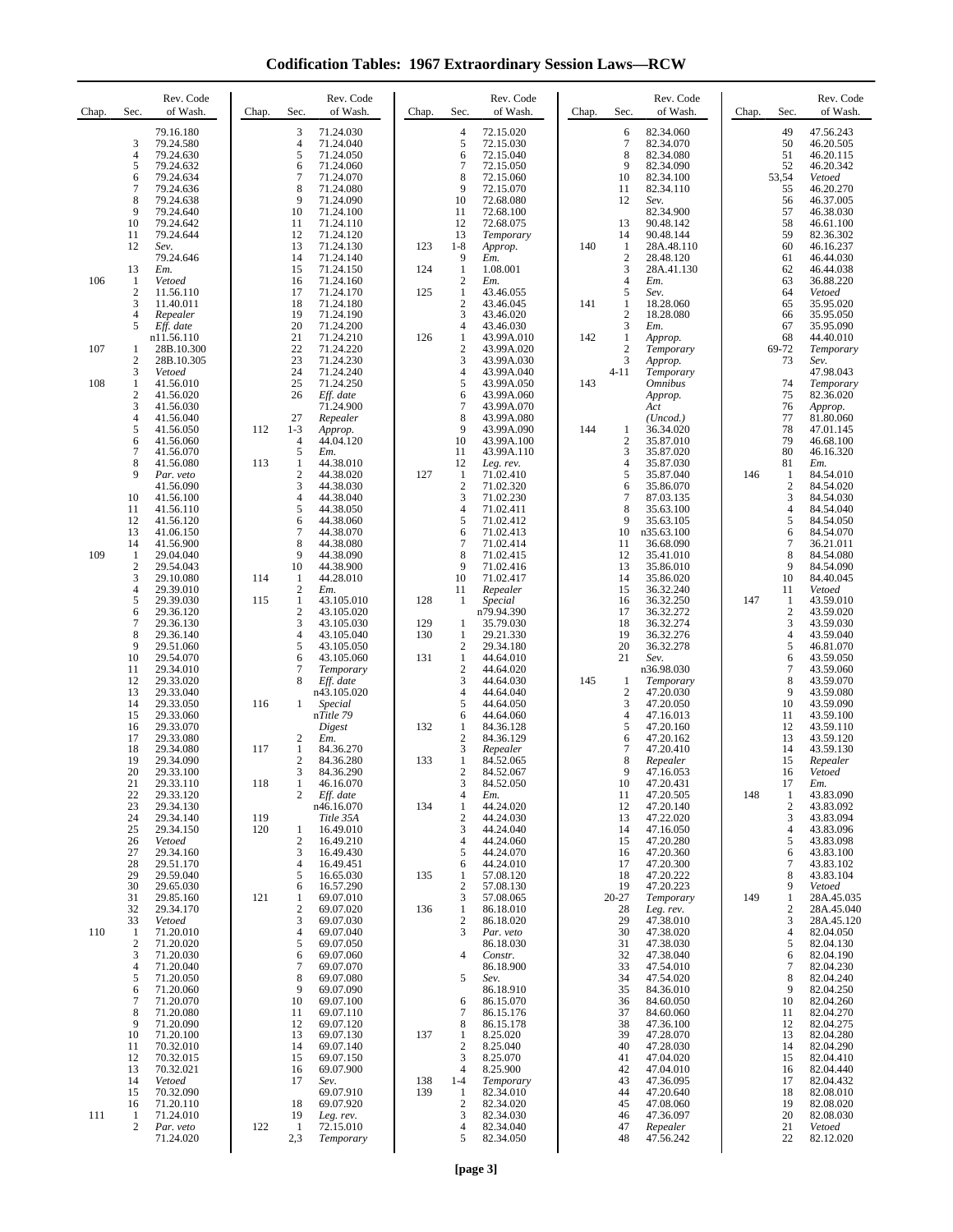**Codification Tables: 1967 Extraordinary Session Laws—RCW**

| Chap. | Sec.                  | Rev. Code<br>of Wash.    | Chap. | Sec.                      | Rev. Code<br>of Wash.       | Chap.      | Sec.                           | Rev. Code<br>of Wash.    | Chap. | Sec.                  | Rev. Code<br>of Wash.     | Chap. | Sec.                | Rev. Code<br>of Wash.    |
|-------|-----------------------|--------------------------|-------|---------------------------|-----------------------------|------------|--------------------------------|--------------------------|-------|-----------------------|---------------------------|-------|---------------------|--------------------------|
|       | 3                     | 79.16.180<br>79.24.580   |       | 3<br>4                    | 71.24.030<br>71.24.040      |            | $\overline{4}$<br>5            | 72.15.020<br>72.15.030   |       | 6<br>7                | 82.34.060<br>82.34.070    |       | 49<br>50            | 47.56.243<br>46.20.505   |
|       | $\overline{4}$<br>5   | 79.24.630<br>79.24.632   |       | 5<br>6                    | 71.24.050<br>71.24.060      |            | 6<br>$\overline{7}$            | 72.15.040<br>72.15.050   |       | 8<br>9                | 82.34.080<br>82.34.090    |       | 51<br>52            | 46.20.115<br>46.20.342   |
|       | 6                     | 79.24.634                |       | 7                         | 71.24.070                   |            | 8                              | 72.15.060                |       | 10                    | 82.34.100                 |       | 53,54               | Vetoed                   |
|       | 7<br>8                | 79.24.636<br>79.24.638   |       | 8<br>9                    | 71.24.080<br>71.24.090      |            | 9<br>10                        | 72.15.070<br>72.68.080   |       | 11<br>12              | 82.34.110<br>Sev.         |       | 55<br>56            | 46.20.270<br>46.37.005   |
|       | 9<br>10               | 79.24.640<br>79.24.642   |       | 10<br>11                  | 71.24.100<br>71.24.110      |            | 11<br>12                       | 72.68.100<br>72.68.075   |       | 13                    | 82.34.900<br>90.48.142    |       | 57<br>58            | 46.38.030<br>46.61.100   |
|       | 11                    | 79.24.644                |       | 12                        | 71.24.120                   |            | 13                             | Temporary                |       | 14                    | 90.48.144                 |       | 59                  | 82.36.302                |
|       | 12                    | Sev.<br>79.24.646        |       | 13<br>14                  | 71.24.130<br>71.24.140      | 123        | $1 - 8$<br>9                   | Approp.<br>Em.           | 140   | 1<br>$\boldsymbol{2}$ | 28A.48.110<br>28.48.120   |       | 60<br>61            | 46.16.237<br>46.44.030   |
| 106   | 13<br>-1              | Em.<br>Vetoed            |       | 15<br>16                  | 71.24.150<br>71.24.160      | 124        | 1<br>$\overline{2}$            | 1.08.001<br>Em.          |       | 3<br>$\overline{4}$   | 28A.41.130<br>Em.         |       | 62<br>63            | 46.44.038<br>36.88.220   |
|       | $\mathbf{2}$<br>3     | 11.56.110<br>11.40.011   |       | 17<br>18                  | 71.24.170<br>71.24.180      | 125        | 1<br>$\overline{2}$            | 43.46.055<br>43.46.045   | 141   | 5<br>$\mathbf{1}$     | Sev.<br>18.28.060         |       | 64<br>65            | Vetoed<br>35.95.020      |
|       | $\overline{4}$        | Repealer                 |       | 19                        | 71.24.190                   |            | 3                              | 43.46.020                |       | $\overline{c}$        | 18.28.080                 |       | 66                  | 35.95.050                |
|       | 5                     | Eff. date<br>n11.56.110  |       | 20<br>21                  | 71.24.200<br>71.24.210      | 126        | $\overline{4}$<br>$\mathbf{1}$ | 43.46.030<br>43.99A.010  | 142   | 3<br>$\mathbf{1}$     | Em.<br>Approp.            |       | 67<br>68            | 35.95.090<br>44.40.010   |
| 107   | 1<br>$\mathbf{2}$     | 28B.10.300<br>28B.10.305 |       | 22<br>23                  | 71.24.220<br>71.24.230      |            | $\overline{2}$<br>3            | 43.99A.020<br>43.99A.030 |       | 2<br>3                | Temporary<br>Approp.      |       | 69-72<br>73         | Temporary<br>Sev.        |
|       | 3                     | Vetoed                   |       | 24<br>25                  | 71.24.240                   |            | $\overline{4}$<br>5            | 43.99A.040<br>43.99A.050 |       | $4 - 11$              | Temporary                 |       |                     | 47.98.043                |
| 108   | 1<br>$\boldsymbol{2}$ | 41.56.010<br>41.56.020   |       | 26                        | 71.24.250<br>Eff. date      |            | 6                              | 43.99A.060               | 143   |                       | <b>Omnibus</b><br>Approp. |       | 74<br>75            | Temporary<br>82.36.020   |
|       | 3<br>4                | 41.56.030<br>41.56.040   |       | 27                        | 71.24.900<br>Repealer       |            | $\overline{7}$<br>8            | 43.99A.070<br>43.99A.080 |       |                       | Act<br>(Uncod.)           |       | 76<br>77            | Approp.<br>81.80.060     |
|       | 5<br>6                | 41.56.050<br>41.56.060   | 112   | $1 - 3$<br>$\overline{4}$ | Approp.<br>44.04.120        |            | 9<br>10                        | 43.99A.090<br>43.99A.100 | 144   | 1<br>$\overline{c}$   | 36.34.020<br>35.87.010    |       | 78<br>79            | 47.01.145<br>46.68.100   |
|       | 7                     | 41.56.070                |       | 5                         | Em.                         |            | 11                             | 43.99A.110               |       | 3                     | 35.87.020                 |       | 80                  | 46.16.320                |
|       | 8<br>9                | 41.56.080<br>Par. veto   | 113   | 1<br>$\mathfrak{2}$       | 44.38.010<br>44.38.020      | 127        | 12<br>-1                       | Leg. rev.<br>71.02.410   |       | $\overline{4}$<br>5   | 35.87.030<br>35.87.040    | 146   | 81<br>1             | Em.<br>84.54.010         |
|       | 10                    | 41.56.090<br>41.56.100   |       | 3<br>$\overline{4}$       | 44.38.030<br>44.38.040      |            | $\overline{2}$<br>3            | 71.02.320<br>71.02.230   |       | 6<br>7                | 35.86.070<br>87.03.135    |       | $\overline{c}$<br>3 | 84.54.020<br>84.54.030   |
|       | 11<br>12              | 41.56.110<br>41.56.120   |       | 5<br>6                    | 44.38.050<br>44.38.060      |            | $\overline{4}$<br>5            | 71.02.411<br>71.02.412   |       | 8<br>9                | 35.63.100<br>35.63.105    |       | $\overline{4}$<br>5 | 84.54.040<br>84.54.050   |
|       | 13                    | 41.06.150                |       | $\tau$                    | 44.38.070                   |            | 6                              | 71.02.413                |       | 10                    | n35.63.100                |       | 6                   | 84.54.070                |
| 109   | 14<br>1               | 41.56.900<br>29.04.040   |       | 8<br>9                    | 44.38.080<br>44.38.090      |            | $\overline{7}$<br>8            | 71.02.414<br>71.02.415   |       | 11<br>12              | 36.68.090<br>35.41.010    |       | 7<br>8              | 36.21.011<br>84.54.080   |
|       | $\mathbf{2}$<br>3     | 29.54.043<br>29.10.080   | 114   | 10<br>1                   | 44.38.900<br>44.28.010      |            | 9<br>10                        | 71.02.416<br>71.02.417   |       | 13<br>14              | 35.86.010<br>35.86.020    |       | 9<br>10             | 84.54.090<br>84.40.045   |
|       | $\overline{4}$<br>5   | 29.39.010<br>29.39.030   | 115   | $\mathfrak{2}$<br>1       | Em.<br>43.105.010           | 128        | 11<br>-1                       | Repealer<br>Special      |       | 15<br>16              | 36.32.240<br>36.32.250    | 147   | 11<br>$\mathbf{1}$  | Vetoed<br>43.59.010      |
|       | 6                     | 29.36.120                |       | $\mathbf{2}$              | 43.105.020                  |            |                                | n79.94.390               |       | 17                    | 36.32.272                 |       | $\overline{c}$      | 43.59.020                |
|       | 7<br>8                | 29.36.130<br>29.36.140   |       | 3<br>$\overline{4}$       | 43.105.030<br>43.105.040    | 129<br>130 | -1<br>1                        | 35.79.030<br>29.21.330   |       | 18<br>19              | 36.32.274<br>36.32.276    |       | 3<br>$\overline{4}$ | 43.59.030<br>43.59.040   |
|       | 9<br>10               | 29.51.060<br>29.54.070   |       | 5<br>6                    | 43.105.050<br>43.105.060    | 131        | $\boldsymbol{2}$<br>1          | 29.34.180<br>44.64.010   |       | 20<br>21              | 36.32.278<br>Sev.         |       | 5<br>6              | 46.81.070<br>43.59.050   |
|       | 11<br>12              | 29.34.010<br>29.33.020   |       | $\overline{7}$<br>8       | Temporary<br>Eff. date      |            | $\overline{c}$<br>3            | 44.64.020<br>44.64.030   | 145   | 1                     | n36.98.030<br>Temporary   |       | 7<br>8              | 43.59.060<br>43.59.070   |
|       | 13                    | 29.33.040                |       |                           | n43.105.020                 |            | $\overline{4}$                 | 44.64.040                |       | $\overline{c}$        | 47.20.030                 |       | 9                   | 43.59.080                |
|       | 14<br>15              | 29.33.050<br>29.33.060   | 116   | 1                         | <b>Special</b><br>nTitle 79 |            | 5<br>6                         | 44.64.050<br>44.64.060   |       | 3<br>4                | 47.20.050<br>47.16.013    |       | 10<br>11            | 43.59.090<br>43.59.100   |
|       | 16<br>17              | 29.33.070<br>29.33.080   |       | $\mathfrak{2}$            | Digest<br>Em.               | 132        | 1<br>$\overline{2}$            | 84.36.128<br>84.36.129   |       | 5<br>6                | 47.20.160<br>47.20.162    |       | 12<br>13            | 43.59.110<br>43.59.120   |
|       | 18<br>19              | 29.34.080<br>29.34.090   | 117   | 1<br>$\mathbf{2}$         | 84.36.270<br>84.36.280      | 133        | 3<br>$\mathbf{1}$              | Repealer<br>84.52.065    |       | 7<br>8                | 47.20.410<br>Repealer     |       | 14<br>15            | 43.59.130<br>Repealer    |
|       | 20                    | 29.33.100                |       | 3                         | 84.36.290                   |            | $\overline{c}$                 | 84.52.067                |       | 9                     | 47.16.053                 |       | 16                  | Vetoed                   |
|       | 21<br>22              | 29.33.110<br>29.33.120   | 118   | 1<br>2                    | 46.16.070<br>Eff. date      |            | 3<br>4                         | 84.52.050<br>Em.         |       | 10<br>11              | 47.20.431<br>47.20.505    | 148   | 17<br>-1            | Em.<br>43.83.090         |
|       | 23<br>24              | 29.34.130<br>29.34.140   | 119   |                           | n46.16.070<br>Title 35A     | 134        | 1<br>$\overline{2}$            | 44.24.020<br>44.24.030   |       | 12<br>13              | 47.20.140<br>47.22.020    |       | $\overline{c}$<br>3 | 43.83.092<br>43.83.094   |
|       | 25<br>26              | 29.34.150<br>Vetoed      | 120   | 1<br>$\mathfrak{2}$       | 16.49.010<br>16.49.210      |            | 3<br>$\overline{4}$            | 44.24.040<br>44.24.060   |       | 14<br>15              | 47.16.050<br>47.20.280    |       | 4<br>5              | 43.83.096<br>43.83.098   |
|       | 27                    | 29.34.160                |       | 3                         | 16.49.430                   |            | 5                              | 44.24.070                |       | 16                    | 47.20.360                 |       | 6                   | 43.83.100                |
|       | 28<br>29              | 29.51.170<br>29.59.040   |       | $\overline{4}$<br>5       | 16.49.451<br>16.65.030      | 135        | 6<br>1                         | 44.24.010<br>57.08.120   |       | 17<br>18              | 47.20.300<br>47.20.222    |       | 7<br>8              | 43.83.102<br>43.83.104   |
|       | 30<br>31              | 29.65.030<br>29.85.160   | 121   | 6<br>1                    | 16.57.290<br>69.07.010      |            | $\overline{2}$<br>3            | 57.08.130<br>57.08.065   |       | 19<br>$20 - 27$       | 47.20.223<br>Temporary    | 149   | 9<br>1              | Vetoed<br>28A.45.035     |
|       | 32<br>33              | 29.34.170<br>Vetoed      |       | $\mathfrak{2}$<br>3       | 69.07.020<br>69.07.030      | 136        | 1<br>$\overline{2}$            | 86.18.010<br>86.18.020   |       | 28<br>29              | Leg. rev.<br>47.38.010    |       | $\overline{c}$<br>3 | 28A.45.040<br>28A.45.120 |
| 110   | 1                     | 71.20.010                |       | $\overline{4}$            | 69.07.040                   |            | 3                              | Par. veto                |       | 30                    | 47.38.020                 |       | $\overline{4}$      | 82.04.050                |
|       | $\overline{2}$<br>3   | 71.20.020<br>71.20.030   |       | 5<br>6                    | 69.07.050<br>69.07.060      |            | $\overline{4}$                 | 86.18.030<br>Constr.     |       | 31<br>32              | 47.38.030<br>47.38.040    |       | 5<br>6              | 82.04.130<br>82.04.190   |
|       | 4<br>5                | 71.20.040<br>71.20.050   |       | 7<br>8                    | 69.07.070<br>69.07.080      |            | 5                              | 86.18.900<br>Sev.        |       | 33<br>34              | 47.54.010<br>47.54.020    |       | 7<br>8              | 82.04.230<br>82.04.240   |
|       | 6<br>7                | 71.20.060<br>71.20.070   |       | 9<br>10                   | 69.07.090<br>69.07.100      |            | 6                              | 86.18.910<br>86.15.070   |       | 35<br>36              | 84.36.010<br>84.60.050    |       | 9<br>10             | 82.04.250<br>82.04.260   |
|       | 8                     | 71.20.080                |       | 11                        | 69.07.110                   |            | $\tau$                         | 86.15.176                |       | 37                    | 84.60.060                 |       | 11                  | 82.04.270                |
|       | 9<br>10               | 71.20.090<br>71.20.100   |       | 12<br>13                  | 69.07.120<br>69.07.130      | 137        | 8<br>-1                        | 86.15.178<br>8.25.020    |       | 38<br>39              | 47.36.100<br>47.28.070    |       | 12<br>13            | 82.04.275<br>82.04.280   |
|       | 11<br>12              | 70.32.010<br>70.32.015   |       | 14<br>15                  | 69.07.140<br>69.07.150      |            | $\overline{2}$<br>3            | 8.25.040<br>8.25.070     |       | 40<br>41              | 47.28.030<br>47.04.020    |       | 14<br>15            | 82.04.290<br>82.04.410   |
|       | 13<br>14              | 70.32.021<br>Vetoed      |       | 16<br>17                  | 69.07.900<br>Sev.           | 138        | $\overline{4}$<br>$1 - 4$      | 8.25.900<br>Temporary    |       | 42<br>43              | 47.04.010<br>47.36.095    |       | 16<br>17            | 82.04.440<br>82.04.432   |
|       | 15                    | 70.32.090                |       |                           | 69.07.910                   | 139        | -1                             | 82.34.010                |       | 44                    | 47.20.640                 |       | 18                  | 82.08.010                |
| 111   | 16<br>1               | 71.20.110<br>71.24.010   |       | 18<br>19                  | 69.07.920<br>Leg. rev.      |            | $\overline{2}$<br>3            | 82.34.020<br>82.34.030   |       | 45<br>46              | 47.08.060<br>47.36.097    |       | 19<br>20            | 82.08.020<br>82.08.030   |
|       | $\mathbf{2}$          | Par. veto<br>71.24.020   | 122   | 1<br>2,3                  | 72.15.010<br>Temporary      |            | $\overline{4}$<br>5            | 82.34.040<br>82.34.050   |       | 47<br>48              | Repealer<br>47.56.242     |       | 21<br>22            | Vetoed<br>82.12.020      |
|       |                       |                          |       |                           |                             |            |                                |                          |       |                       |                           |       |                     |                          |